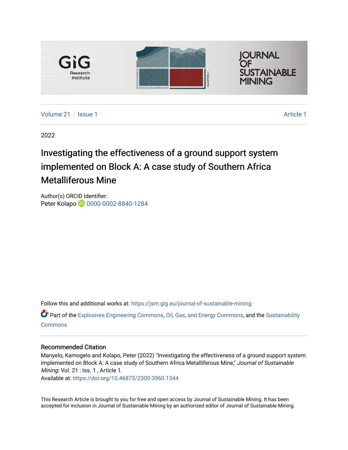

[Volume 21](https://jsm.gig.eu/journal-of-sustainable-mining/vol21) | [Issue 1](https://jsm.gig.eu/journal-of-sustainable-mining/vol21/iss1) [Article 1](https://jsm.gig.eu/journal-of-sustainable-mining/vol21/iss1/1) Article 1 Article 1 Article 1 Article 1 Article 1 Article 1 Article 1 Article 1

2022

## Investigating the effectiveness of a ground support system implemented on Block A: A case study of Southern Africa Metalliferous Mine

Author(s) ORCID Identifier: Peter Kolapo **10** [0000-0002-8840-1284](https://orcid.org/0000-0002-8840-1284)

Follow this and additional works at: [https://jsm.gig.eu/journal-of-sustainable-mining](https://jsm.gig.eu/journal-of-sustainable-mining?utm_source=jsm.gig.eu%2Fjournal-of-sustainable-mining%2Fvol21%2Fiss1%2F1&utm_medium=PDF&utm_campaign=PDFCoverPages) 

Part of the [Explosives Engineering Commons,](https://network.bepress.com/hgg/discipline/1401?utm_source=jsm.gig.eu%2Fjournal-of-sustainable-mining%2Fvol21%2Fiss1%2F1&utm_medium=PDF&utm_campaign=PDFCoverPages) [Oil, Gas, and Energy Commons](https://network.bepress.com/hgg/discipline/171?utm_source=jsm.gig.eu%2Fjournal-of-sustainable-mining%2Fvol21%2Fiss1%2F1&utm_medium=PDF&utm_campaign=PDFCoverPages), and the [Sustainability](https://network.bepress.com/hgg/discipline/1031?utm_source=jsm.gig.eu%2Fjournal-of-sustainable-mining%2Fvol21%2Fiss1%2F1&utm_medium=PDF&utm_campaign=PDFCoverPages)  [Commons](https://network.bepress.com/hgg/discipline/1031?utm_source=jsm.gig.eu%2Fjournal-of-sustainable-mining%2Fvol21%2Fiss1%2F1&utm_medium=PDF&utm_campaign=PDFCoverPages)

## Recommended Citation

Manyelo, Kamogelo and Kolapo, Peter (2022) "Investigating the effectiveness of a ground support system implemented on Block A: A case study of Southern Africa Metalliferous Mine," Journal of Sustainable Mining: Vol. 21 : Iss. 1, Article 1.

Available at:<https://doi.org/10.46873/2300-3960.1344>

This Research Article is brought to you for free and open access by Journal of Sustainable Mining. It has been accepted for inclusion in Journal of Sustainable Mining by an authorized editor of Journal of Sustainable Mining.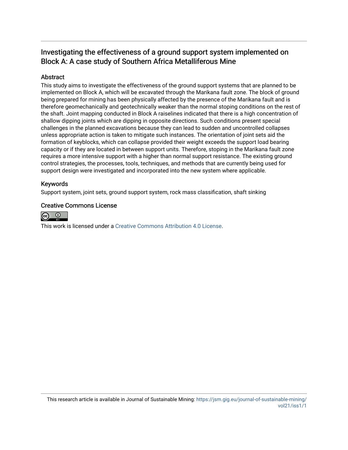## Investigating the effectiveness of a ground support system implemented on Block A: A case study of Southern Africa Metalliferous Mine

## Abstract

This study aims to investigate the effectiveness of the ground support systems that are planned to be implemented on Block A, which will be excavated through the Marikana fault zone. The block of ground being prepared for mining has been physically affected by the presence of the Marikana fault and is therefore geomechanically and geotechnically weaker than the normal stoping conditions on the rest of the shaft. Joint mapping conducted in Block A raiselines indicated that there is a high concentration of shallow dipping joints which are dipping in opposite directions. Such conditions present special challenges in the planned excavations because they can lead to sudden and uncontrolled collapses unless appropriate action is taken to mitigate such instances. The orientation of joint sets aid the formation of keyblocks, which can collapse provided their weight exceeds the support load bearing capacity or if they are located in between support units. Therefore, stoping in the Marikana fault zone requires a more intensive support with a higher than normal support resistance. The existing ground control strategies, the processes, tools, techniques, and methods that are currently being used for support design were investigated and incorporated into the new system where applicable.

### Keywords

Support system, joint sets, ground support system, rock mass classification, shaft sinking

### Creative Commons License



This work is licensed under a [Creative Commons Attribution 4.0 License](http://creativecommons.org/licenses/by/4.0/).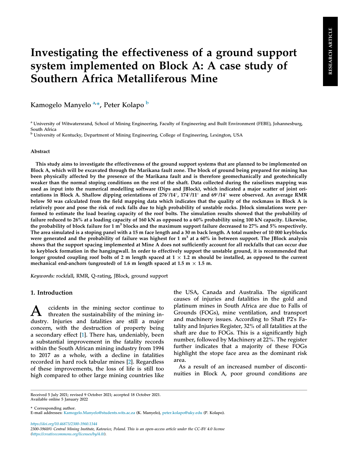# Investigating the effectiveness of a ground support system implemented on Block A: A case study of Southern Africa Metalliferous Mine

Kamogelo Manyelo <sup>[a,](#page-2-0)</sup>\*, Peter Kolapo <sup>[b](#page-2-1)</sup>

<span id="page-2-0"></span><sup>a</sup> University of Witwatersrand, School of Mining Engineering, Faculty of Engineering and Built Environment (FEBE), Johannesburg, South Africa

<span id="page-2-1"></span><sup>b</sup> University of Kentucky, Department of Mining Engineering, College of Engineering, Lexington, USA

#### Abstract

This study aims to investigate the effectiveness of the ground support systems that are planned to be implemented on Block A, which will be excavated through the Marikana fault zone. The block of ground being prepared for mining has been physically affected by the presence of the Marikana fault and is therefore geomechanically and geotechnically weaker than the normal stoping conditions on the rest of the shaft. Data collected during the raiselines mapping was used as input into the numerical modelling software (Dips and JBlock), which indicated a major scatter of joint orientations in Block A. Shallow dipping orientations of  $276^{\circ}/14^{\circ}$ ,  $174^{\circ}/11^{\circ}$  and  $69^{\circ}/14^{\circ}$  were observed. An average RMR below 50 was calculated from the field mapping data which indicates that the quality of the rockmass in Block A is relatively poor and pose the risk of rock falls due to high probability of unstable rocks. Jblock simulations were performed to estimate the load bearing capacity of the roof bolts. The simulation results showed that the probability of failure reduced to 26% at a loading capacity of 160 kN as opposed to a 60% probability using 100 kN capacity. Likewise, the probability of block failure for  $1 \text{ m}^3$  blocks and the maximum support failure decreased to 27% and 5% respectively. The area simulated is a stoping panel with a 15 m face length and a 30 m back length. A total number of 10 000 keyblocks were generated and the probability of failure was highest for 1  $m<sup>3</sup>$  at a 60% in between support. The JBlock analysis shows that the support spacing implemented at Mine A does not sufficiently account for all rockfalls that can occur due to keyblock formation in the hangingwall. In order to effectively support the unstable ground, it is recommended that longer grouted coupling roof bolts of 2 m length spaced at  $1 \times 1.2$  m should be installed, as opposed to the current mechanical end-anchors (ungrouted) of 1.6 m length spaced at 1.5 m  $\times$  1.5 m.

Keywords: rockfall, RMR, Q-rating, JBlock, ground support

#### 1. Introduction

A ccidents in the mining sector continue to threaten the sustainability of the mining industry. Injuries and fatalities are still a major concern, with the destruction of property being a secondary effect [[1\]](#page-13-0). There has, undeniably, been a substantial improvement in the fatality records within the South African mining industry from 1994 to 2017 as a whole, with a decline in fatalities recorded in hard rock tabular mines [[2\]](#page-13-1). Regardless of these improvements, the loss of life is still too high compared to other large mining countries like

the USA, Canada and Australia. The significant causes of injuries and fatalities in the gold and platinum mines in South Africa are due to Falls of Grounds (FOGs), mine ventilation, and transport and machinery issues. According to Shaft P2's Fatality and Injuries Register, 32% of all fatalities at the shaft are due to FOGs. This is a significantly high number, followed by Machinery at 22%. The register further indicates that a majority of these FOGs highlight the stope face area as the dominant risk area.

As a result of an increased number of discontinuities in Block A, poor ground conditions are

\* Corresponding author.

https://doi.org/10.46873/2300-3960.1344 2300-3960/© Central Mining Institute, Katowice, Poland. This is an open-access article under the CC-BY 4.0 license [\(https://creativecommons.org/licenses/by/4.0/\)](https://creativecommons.org/licenses/by/4.0/).

Received 5 July 2021; revised 9 October 2021; accepted 18 October 2021. Available online 5 January 2022

E-mail addresses: [Kamogelo.Manyelo@students.wits.ac.za](mailto:Kamogelo.Manyelo@students.wits.ac.za) (K. Manyelo), [peter.kolapo@uky.edu](mailto:peter.kolapo@uky.edu) (P. Kolapo).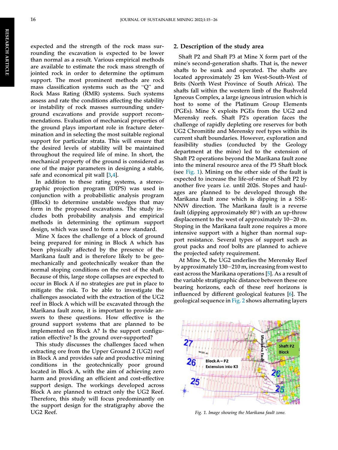RESEARCH ARTICLE RESEARCHARTICLE

expected and the strength of the rock mass surrounding the excavation is expected to be lower than normal as a result. Various empirical methods are available to estimate the rock mass strength of jointed rock in order to determine the optimum support. The most prominent methods are rock mass classification systems such as the "Q" and Rock Mass Rating (RMR) systems. Such systems assess and rate the conditions affecting the stability or instability of rock masses surrounding underground excavations and provide support recommendations. Evaluation of mechanical properties of the ground plays important role in fracture determination and in selecting the most suitable regional support for particular strata. This will ensure that the desired levels of stability will be maintained throughout the required life of mine. In short, the mechanical property of the ground is considered as one of the major parameters in designing a stable, safe and economical pit wall [[3](#page-13-2)[,4](#page-13-3)].

In addition to these rating systems, a stereographic projection program (DIPS) was used in conjunction with a probabilistic analysis program (JBlock) to determine unstable wedges that may form in the proposed excavations. The study includes both probability analysis and empirical methods in determining the optimum support design, which was used to form a new standard.

Mine X faces the challenge of a block of ground being prepared for mining in Block A which has been physically affected by the presence of the Marikana fault and is therefore likely to be geomechanically and geotechnically weaker than the normal stoping conditions on the rest of the shaft. Because of this, large stope collapses are expected to occur in Block A if no strategies are put in place to mitigate the risk. To be able to investigate the challenges associated with the extraction of the UG2 reef in Block A which will be excavated through the Marikana fault zone, it is important to provide answers to these questions. How effective is the ground support systems that are planned to be implemented on Block A? Is the support configuration effective? Is the ground over-supported?

This study discusses the challenges faced when extracting ore from the Upper Ground 2 (UG2) reef in Block A and provides safe and productive mining conditions in the geotechnically poor ground located in Block A, with the aim of achieving zero harm and providing an efficient and cost-effective support design. The workings developed across Block A are planned to extract only the UG2 Reef. Therefore, this study will focus predominantly on the support design for the stratigraphy above the UG2 Reef.

#### 2. Description of the study area

Shaft P2 and Shaft P3 at Mine X form part of the mine's second-generation shafts. That is, the newer shafts to be sunk and operated. The shafts are located approximately 25 km West-South-West of Brits (North West Province of South Africa). The shafts fall within the western limb of the Bushveld Igneous Complex, a large igneous intrusion which is host to some of the Platinum Group Elements (PGEs). Mine X exploits PGEs from the UG2 and Merensky reefs. Shaft P2's operation faces the challenge of rapidly depleting ore reserves for both UG2 Chromitite and Merensky reef types within its current shaft boundaries. However, exploration and feasibility studies (conducted by the Geology department at the mine) led to the extension of Shaft P2 operations beyond the Marikana fault zone into the mineral resource area of the P3 Shaft block (see [Fig. 1](#page-3-0)). Mining on the other side of the fault is expected to increase the life-of-mine of Shaft P2 by another five years i.e. until 2026. Stopes and haulages are planned to be developed through the Marikana fault zone which is dipping in a SSE-NNW direction. The Marikana fault is a reverse fault (dipping approximately  $80^\circ$ ) with an up-throw displacement to the west of approximately  $10-20$  m. Stoping in the Marikana fault zone requires a more intensive support with a higher than normal support resistance. Several types of support such as grout packs and roof bolts are planned to achieve the projected safety requirement.

At Mine X, the UG2 underlies the Merensky Reef by approximately  $130-210$  m, increasing from west to east across the Marikana operations [\[5](#page-13-4)]. As a result of the variable stratigraphic distance between these ore bearing horizons, each of these reef horizons is influenced by different geological features [\[6](#page-13-5)]. The geological sequence in [Fig. 2](#page-4-0) shows alternating layers

<span id="page-3-0"></span>

Fig. 1. Image showing the Marikana fault zone.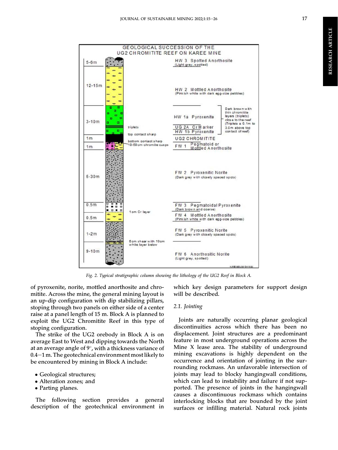**RESEARCH ARTICLE** RESEARCH ARTICLE



Fig. 2. Typical stratigraphic column showing the lithology of the UG2 Reef in Block A.

of pyroxenite, norite, mottled anorthosite and chromitite. Across the mine, the general mining layout is an up-dip configuration with dip stabilizing pillars, stoping through two panels on either side of a center raise at a panel length of 15 m. Block A is planned to exploit the UG2 Chromitite Reef in this type of stoping configuration.

<span id="page-4-0"></span> $5-6m$ 

 $12 - 15m$ 

 $3 - 10m$ 

 $1<sub>m</sub>$ 

 $1<sub>m</sub>$ 

 $5 - 30m$ 

 $0.5m$ 

 $0.5m$ 

 $1-2m$ 

 $9 - 10m$ 

ā F

The strike of the UG2 orebody in Block A is on average East to West and dipping towards the North at an average angle of  $9^\circ$ , with a thickness variance of  $0.4-1$  m. The geotechnical environment most likely to be encountered by mining in Block A include:

- Geological structures;
- Alteration zones; and
- Parting planes.

The following section provides a general description of the geotechnical environment in which key design parameters for support design will be described.

#### 2.1. Jointing

(Light grey, spotted)

Joints are naturally occurring planar geological discontinuities across which there has been no displacement. Joint structures are a predominant feature in most underground operations across the Mine X lease area. The stability of underground mining excavations is highly dependent on the occurrence and orientation of jointing in the surrounding rockmass. An unfavorable intersection of joints may lead to blocky hangingwall conditions, which can lead to instability and failure if not supported. The presence of joints in the hangingwall causes a discontinuous rockmass which contains interlocking blocks that are bounded by the joint surfaces or infilling material. Natural rock joints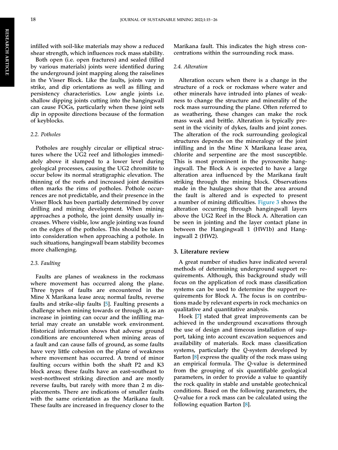infilled with soil-like materials may show a reduced shear strength, which influences rock mass stability.

Both open (i.e. open fractures) and sealed (filled by various materials) joints were identified during the underground joint mapping along the raiselines in the Visser Block. Like the faults, joints vary in strike, and dip orientations as well as filling and persistency characteristics. Low angle joints i.e. shallow dipping joints cutting into the hangingwall can cause FOGs, particularly when these joint sets dip in opposite directions because of the formation of keyblocks.

#### 2.2. Potholes

Potholes are roughly circular or elliptical structures where the UG2 reef and lithologies immediately above it slumped to a lower level during geological processes, causing the UG2 chromitite to occur below its normal stratigraphic elevation. The thinning of the reefs and increased joint densities often marks the rims of potholes. Pothole occurrences are not predictable, and their presence in the Visser Block has been partially determined by cover drilling and mining development. When mining approaches a pothole, the joint density usually increases. Where visible, low angle jointing was found on the edges of the potholes. This should be taken into consideration when approaching a pothole. In such situations, hangingwall beam stability becomes more challenging.

#### 2.3. Faulting

Faults are planes of weakness in the rockmass where movement has occurred along the plane. Three types of faults are encountered in the Mine X Marikana lease area; normal faults, reverse faults and strike-slip faults [[5\]](#page-13-4). Faulting presents a challenge when mining towards or through it, as an increase in jointing can occur and the infilling material may create an unstable work environment. Historical information shows that adverse ground conditions are encountered when mining areas of a fault and can cause falls of ground, as some faults have very little cohesion on the plane of weakness where movement has occurred. A trend of minor faulting occurs within both the shaft P2 and K3 block areas; these faults have an east-southeast to west-northwest striking direction and are mostly reverse faults, but rarely with more than 2 m displacements. There are indications of smaller faults with the same orientation as the Marikana fault. These faults are increased in frequency closer to the

Marikana fault. This indicates the high stress concentrations within the surrounding rock mass.

#### 2.4. Alteration

Alteration occurs when there is a change in the structure of a rock or rockmass where water and other minerals have intruded into planes of weakness to change the structure and minerality of the rock mass surrounding the plane. Often referred to as weathering, these changes can make the rock mass weak and brittle. Alteration is typically present in the vicinity of dykes, faults and joint zones. The alteration of the rock surrounding geological structures depends on the mineralogy of the joint infilling and in the Mine X Marikana lease area, chlorite and serpentine are the most susceptible. This is most prominent in the pyroxenite hangingwall. The Block A is expected to have a large alteration area influenced by the Marikana fault striking through the mining block. Observations made in the haulages show that the area around the fault is altered and is expected to present a number of mining difficulties. [Figure 3](#page-6-0) shows the alteration occurring through hangingwall layers above the UG2 Reef in the Block A. Alteration can be seen in jointing and the layer contact plane in between the Hangingwall 1 (HW1b) and Hangingwall 2 (HW2).

#### 3. Literature review

A great number of studies have indicated several methods of determining underground support requirements. Although, this background study will focus on the application of rock mass classification systems can be used to determine the support requirements for Block A. The focus is on contributions made by relevant experts in rock mechanics on qualitative and quantitative analysis.

Hoek [\[7](#page-13-6)] stated that great improvements can be achieved in the underground excavations through the use of design and timeous installation of support, taking into account excavation sequences and availability of materials. Rock mass classification systems, particularly the Q-system developed by Barton [\[8](#page-13-7)] express the quality of the rock mass using an empirical formula. The Q-value is determined from the grouping of six quantifiable geological parameters, in order to provide a value to quantify the rock quality in stable and unstable geotechnical conditions. Based on the following parameters, the Q-value for a rock mass can be calculated using the following equation Barton [[8\]](#page-13-7).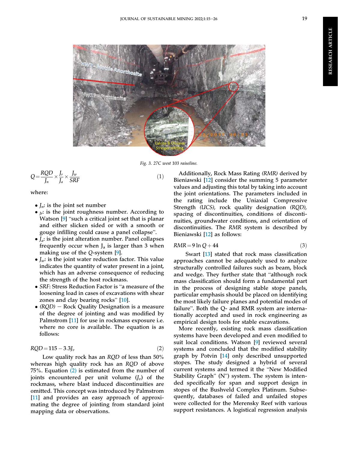<span id="page-6-0"></span>

Fig. 3. 27C west 103 raiseline.

$$
Q = \frac{RQD}{J_n} \times \frac{J_r}{J_a} \times \frac{J_w}{SRF}
$$
 (1)

where:

- $\bullet$   $I_n$ : is the joint set number
- $\bullet$ <sub>*Ir*</sub>: is the joint roughness number. According to Watson [\[9](#page-13-8)] "such a critical joint set that is planar and either slicken sided or with a smooth or watson [9] such a critical joint set that is plained<br>and either slicken sided or with a smooth<br>gouge infilling could cause a panel collapse".
- $\bullet$   $J_a$ : is the joint alteration number. Panel collapses frequently occur when  $J_a$  is larger than 3 when making use of the Q-system [[9\]](#page-13-8).
- $\bullet$   $I_w$ : is the joint water reduction factor. This value indicates the quantity of water present in a joint, which has an adverse consequence of reducing the strength of the host rockmass.
- SRF: Stress Reduction Factor is "a measure of the loosening load in cases of excavations with shear *SKF*: Stress Reduction Factor is and<br>loosening load in cases of excavatio<br>zones and clay bearing rocks" [\[10](#page-13-9)].
- $\bullet$  (RQD) Rock Quality Designation is a measure of the degree of jointing and was modified by Palmstrom [\[11](#page-13-10)] for use in rockmass exposure i.e. where no core is available. The equation is as follows:

<span id="page-6-1"></span>
$$
RQD = 115 - 3.3J_v \tag{2}
$$

Low quality rock has an RQD of less than 50% whereas high quality rock has an RQD of above 75%. Equation [\(2\)](#page-6-1) is estimated from the number of joints encountered per unit volume  $(I_n)$  of the rockmass, where blast induced discontinuities are omitted. This concept was introduced by Palmstrom [\[11](#page-13-10)] and provides an easy approach of approximating the degree of jointing from standard joint mapping data or observations.

Additionally, Rock Mass Rating (RMR) derived by Bieniawski [\[12](#page-13-11)] consider the summing 5 parameter values and adjusting this total by taking into account the joint orientations. The parameters included in the rating include the Uniaxial Compressive Strength (UCS), rock quality designation (RQD), spacing of discontinuities, conditions of discontinuities, groundwater conditions, and orientation of discontinuities. The RMR system is described by Bieniawski [[12\]](#page-13-11) as follows:

$$
RMR = 9 \ln Q + 44 \tag{3}
$$

Swart [[13\]](#page-13-12) stated that rock mass classification approaches cannot be adequately used to analyze structurally controlled failures such as beam, block approacnes cannot be adequately used to analyze<br>structurally controlled failures such as beam, block<br>and wedge. They further state that "although rock mass classification should form a fundamental part in the process of designing stable stope panels, particular emphasis should be placed on identifying the most likely failure planes and potential modes of parucular emphasis should be placed on identifying<br>the most likely failure planes and potential modes of<br>failure". Both the Q- and RMR system are internationally accepted and used in rock engineering as empirical design tools for stable excavations.

More recently, existing rock mass classification systems have been developed and even modified to suit local conditions. Watson [\[9](#page-13-8)] reviewed several systems and concluded that the modified stability graph by Potvin [\[14](#page-13-13)] only described unsupported stopes. The study designed a hybrid of several current systems and termed it the "New Modified Stability Graph" (N") system. The system is intended specifically for span and support design in stopes of the Bushveld Complex Platinum. Subsequently, databases of failed and unfailed stopes were collected for the Merensky Reef with various support resistances. A logistical regression analysis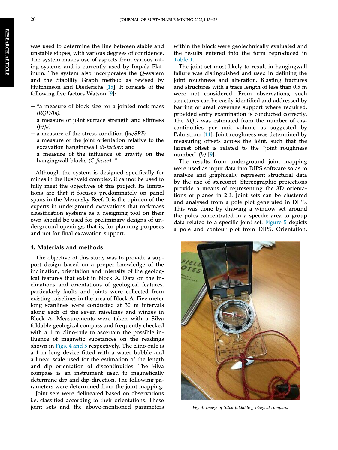was used to determine the line between stable and unstable stopes, with various degrees of confidence. The system makes use of aspects from various rating systems and is currently used by Impala Platinum. The system also incorporates the Q-system and the Stability Graph method as revised by Hutchinson and Diederichs [\[15\]](#page-13-14). It consists of the following five factors Watson [[9\]](#page-13-8):

- $-$  "a measure of block size for a jointed rock mass  $(ROD/In)$ .
- $-$  a measure of joint surface strength and stiffness  $(Ir/Ja)$ .
- a measure of the stress condition  $(Iw/SRF)$
- $-$  a measure of the joint orientation relative to the excavation hangingwall (B-factor); and
- excavation nangingwall (*b*-*juctor*); and<br>
 a measure of the influence of gravity on the<br>
hangingwall blocks (*C-factor*). "

Although the system is designed specifically for mines in the Bushveld complex, it cannot be used to fully meet the objectives of this project. Its limitations are that it focuses predominately on panel spans in the Merensky Reef. It is the opinion of the experts in underground excavations that rockmass classification systems as a designing tool on their own should be used for preliminary designs of underground openings, that is, for planning purposes and not for final excavation support.

#### 4. Materials and methods

The objective of this study was to provide a support design based on a proper knowledge of the inclination, orientation and intensity of the geological features that exist in Block A. Data on the inclinations and orientations of geological features, particularly faults and joints were collected from existing raiselines in the area of Block A. Five meter long scanlines were conducted at 30 m intervals along each of the seven raiselines and winzes in Block A. Measurements were taken with a Silva foldable geological compass and frequently checked with a 1 m clino-rule to ascertain the possible influence of magnetic substances on the readings shown in [Figs. 4 and 5](#page-7-0) respectively. The clino-rule is a 1 m long device fitted with a water bubble and a linear scale used for the estimation of the length and dip orientation of discontinuities. The Silva compass is an instrument used to magnetically determine dip and dip-direction. The following parameters were determined from the joint mapping.

Joint sets were delineated based on observations i.e. classified according to their orientations. These joint sets and the above-mentioned parameters within the block were geotechnically evaluated and the results entered into the form reproduced in [Table 1.](#page-8-0)

The joint set most likely to result in hangingwall failure was distinguished and used in defining the joint roughness and alteration. Blasting fractures and structures with a trace length of less than 0.5 m were not considered. From observations, such structures can be easily identified and addressed by barring or areal coverage support where required, provided entry examination is conducted correctly. The RQD was estimated from the number of discontinuities per unit volume as suggested by Palmstrom [[11\]](#page-13-10). Joint roughness was determined by measuring offsets across the joint, such that the raimstrom [11]. Joint roughness was determined by<br>measuring offsets across the joint, such that the<br>largest offset is related to the "joint roughness largest offset is related to the "joint roughness number"  $(Ir)$  [[9\]](#page-13-8).

The results from underground joint mapping were used as input data into DIPS software so as to analyze and graphically represent structural data by the use of stereonet. Stereographic projections provide a means of representing the 3D orientations of planes in 2D. Joint sets can be clustered and analysed from a pole plot generated in DIPS. This was done by drawing a window set around the poles concentrated in a specific area to group data related to a specific joint set. [Figure 5](#page-8-1) depicts a pole and contour plot from DIPS. Orientation,

<span id="page-7-0"></span>

Fig. 4. Image of Silva foldable geological compass.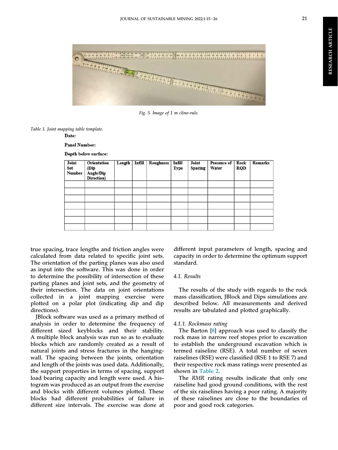

<span id="page-8-1"></span>

Fig. 5. Image of 1 m clino-rule.

<span id="page-8-0"></span>Table 1. Joint mapping table template.

Date:

**Panel Number:** 

Depth below surface:

| Joint<br>Set<br><b>Number</b> | <b>Orientation</b><br>(Dip<br>Angle/Dip<br>Direction) | Length | Infill Roughness | Infill<br><b>Type</b> | Joint<br>Spacing | Presence of   Rock<br>Water | <b>RQD</b> | <b>Remarks</b> |
|-------------------------------|-------------------------------------------------------|--------|------------------|-----------------------|------------------|-----------------------------|------------|----------------|
|                               |                                                       |        |                  |                       |                  |                             |            |                |
|                               |                                                       |        |                  |                       |                  |                             |            |                |
|                               |                                                       |        |                  |                       |                  |                             |            |                |
|                               |                                                       |        |                  |                       |                  |                             |            |                |
|                               |                                                       |        |                  |                       |                  |                             |            |                |
|                               |                                                       |        |                  |                       |                  |                             |            |                |
|                               |                                                       |        |                  |                       |                  |                             |            |                |

true spacing, trace lengths and friction angles were calculated from data related to specific joint sets. The orientation of the parting planes was also used as input into the software. This was done in order to determine the possibility of intersection of these parting planes and joint sets, and the geometry of their intersection. The data on joint orientations collected in a joint mapping exercise were plotted on a polar plot (indicating dip and dip directions).

JBlock software was used as a primary method of analysis in order to determine the frequency of different sized keyblocks and their stability. A multiple block analysis was run so as to evaluate blocks which are randomly created as a result of natural joints and stress fractures in the hangingwall. The spacing between the joints, orientation and length of the joints was used data. Additionally, the support properties in terms of spacing, support load bearing capacity and length were used. A histogram was produced as an output from the exercise and blocks with different volumes plotted. These blocks had different probabilities of failure in different size intervals. The exercise was done at

different input parameters of length, spacing and capacity in order to determine the optimum support standard.

#### 4.1. Results

The results of the study with regards to the rock mass classification, JBlock and Dips simulations are described below. All measurements and derived results are tabulated and plotted graphically.

#### 4.1.1. Rockmass rating

The Barton [\[8](#page-13-7)] approach was used to classify the rock mass in narrow reef stopes prior to excavation to establish the underground excavation which is termed raiseline (RSE). A total number of seven raiselines (RSE) were classified (RSE 1 to RSE 7) and their respective rock mass ratings were presented as shown in [Table 2](#page-9-0).

The RMR rating results indicate that only one raiseline had good ground conditions, with the rest of the six raiselines having a poor rating. A majority of these raiselines are close to the boundaries of poor and good rock categories.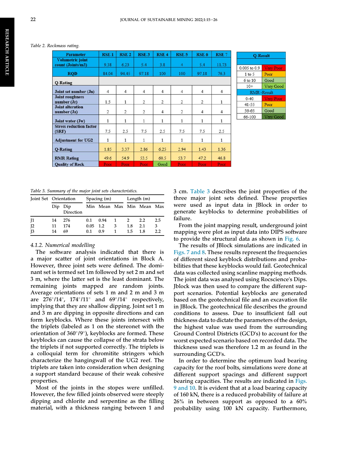#### <span id="page-9-0"></span>Table 2. Rockmass rating.

| <b>Parameter</b>                        | <b>RSE1</b>    | <b>RSE 2</b>   | <b>RSE3</b>    | <b>RSE4</b>    | <b>RSE 5</b>   | <b>RSE 6</b>   | RSE <sub>7</sub> |
|-----------------------------------------|----------------|----------------|----------------|----------------|----------------|----------------|------------------|
| Volumetric joint<br>count (Joints/m3)   | 9.38           | 6.23           | 5.4            | 3.8            | 4              | 5.4            | 11.73            |
| <b>ROD</b>                              | 84.04          | 94.45          | 97.18          | 100            | 100            | 97.18          | 76.3             |
| Q-Rating                                |                |                |                |                |                |                |                  |
| Joint set number (Jn)                   | $\overline{4}$ | 4              | $\overline{4}$ | 4              | $\overline{4}$ | 4              | 4                |
| <b>Joint roughness</b><br>number (Jr)   | 1.5            | 1              | $\overline{2}$ | $\overline{2}$ | $\overline{2}$ | $\overline{c}$ | 1                |
| <b>Joint alteration</b><br>number (Ja)  | $\overline{2}$ | $\overline{2}$ | $\overline{2}$ | $\overline{4}$ | $\overline{2}$ | $\overline{4}$ | $\overline{4}$   |
| Joint water (Jw)                        | 1              | 1              | $\mathbf{1}$   | 1              | 1              | 1              | 1                |
| <b>Stress reduction factor</b><br>(SRF) | 7.5            | 2.5            | 7.5            | 2.5            | 7.5            | 7.5            | 2.5              |
| <b>Adjustment for UG2</b>               | $\mathbf{1}$   | 1              | $\mathbf{1}$   | 1              | 1              | 1              | 1                |
| <b>Q-Rating</b>                         | 1.85           | 3.37           | 2.86           | 6.25           | 2.94           | 1.43           | 1.36             |
| <b>RMR Rating</b>                       | 49.6           | 54.9           | 53.5           | 60.5           | 53.7           | 47.2           | 46.8             |
| <b>Ouality of Rock</b>                  | Poor           | Poor           | Poor           | Good           | Poor           | Poor           | Poor             |

| <b>D-Result</b>   |                      |  |  |  |  |  |  |
|-------------------|----------------------|--|--|--|--|--|--|
| 0.005 to 0.9      | e n                  |  |  |  |  |  |  |
| $1$ to 5          | Poor                 |  |  |  |  |  |  |
| 6 to 10           | Good                 |  |  |  |  |  |  |
| $10+$             | Very Good            |  |  |  |  |  |  |
| <b>RMR-Result</b> |                      |  |  |  |  |  |  |
| $0 - 40$          |                      |  |  |  |  |  |  |
| 41-55             | Poor                 |  |  |  |  |  |  |
| 56-65             | Good                 |  |  |  |  |  |  |
| 66-100            | Good<br><b>COLUM</b> |  |  |  |  |  |  |

<span id="page-9-1"></span>Table 3. Summary of the major joint sets characteristics.

|                 | Joint Set Orientation |                  |            | Spacing $(m)$             |   | Length $(m)$   |     |     |
|-----------------|-----------------------|------------------|------------|---------------------------|---|----------------|-----|-----|
|                 | Dip                   | Dip<br>Direction |            | Min Mean Max Min Mean Max |   |                |     |     |
| $\mathsf{I}1$   | 14                    | 276              | 0.1        | 0.94                      | 1 | $\overline{2}$ | 2.2 | 2.5 |
| 12              | 11                    | 174              | $0.05$ 1.2 |                           | 3 | 1.8            | 2.1 | 3   |
| $\overline{1}3$ | 14                    | 69               | 0.1        | 0.9                       |   | $1.5^{\circ}$  | 1.8 | 2.2 |

#### 4.1.2. Numerical modelling

The software analysis indicated that there is a major scatter of joint orientations in Block A. However, three joint sets were defined. The dominant set is termed set 1m followed by set 2 m and set 3 m, where the latter set is the least dominant. The remaining joints mapped are random joints. Average orientations of sets 1 m and 2 m and 3 m are  $276^{\circ}/14^{\circ}$ ,  $174^{\circ}/11^{\circ}$  and  $69^{\circ}/14^{\circ}$  respectively, implying that they are shallow dipping. Joint set 1 m and 3 m are dipping in opposite directions and can form keyblocks. Where these joints intersect with the triplets (labeled as 1 on the stereonet with the orientation of  $360^{\circ}/9^{\circ}$ ), keyblocks are formed. These keyblocks can cause the collapse of the strata below the triplets if not supported correctly. The triplets is a colloquial term for chromitite stringers which characterize the hangingwall of the UG2 reef. The triplets are taken into consideration when designing a support standard because of their weak cohesive properties.

Most of the joints in the stopes were unfilled. However, the few filled joints observed were steeply dipping and chlorite and serpentine as the filling material, with a thickness ranging between 1 and 3 cm. [Table 3](#page-9-1) describes the joint properties of the three major joint sets defined. These properties were used as input data in JBlock in order to generate keyblocks to determine probabilities of failure.

From the joint mapping result, underground joint mapping were plot as input data into DIPS software to provide the structural data as shown in [Fig. 6.](#page-10-0)

The results of JBlock simulations are indicated in [Figs. 7 and 8.](#page-10-1) These results represent the frequencies of different sized keyblock distributions and probabilities that these keyblocks would fail. Geotechnical data was collected using scanline mapping methods. The joint data was analysed using Rocscience's Dips. Jblock was then used to compare the different support scenarios. Potential keyblocks are generated based on the geotechnical file and an excavation file in JBlock. The geotechnical file describes the ground conditions to assess. Due to insufficient fall out thickness data to dictate the parameters of the design, the highest value was used from the surrounding Ground Control Districts (GCD's) to account for the worst expected scenario based on recorded data. The thickness used was therefore 1.2 m as found in the surrounding GCD's.

In order to determine the optimum load bearing capacity for the roof bolts, simulations were done at different support spacings and different support bearing capacities. The results are indicated in [Figs.](#page-11-0) [9 and 10.](#page-11-0) It is evident that at a load bearing capacity of 160 kN, there is a reduced probability of failure at  $26\%$  in between support as opposed to a  $60\%$ probability using 100 kN capacity. Furthermore,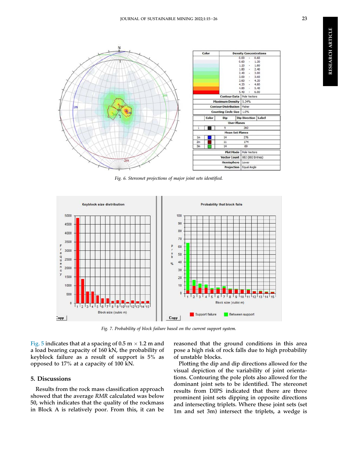<span id="page-10-0"></span>

Fig. 6. Stereonet projections of major joint sets identified.

<span id="page-10-1"></span>

Fig. 7. Probability of block failure based on the current support system.

[Fig. 5](#page-8-1) indicates that at a spacing of 0.5 m  $\times$  1.2 m and a load bearing capacity of 160 kN, the probability of keyblock failure as a result of support is 5% as opposed to 17% at a capacity of 100 kN.

#### 5. Discussions

Results from the rock mass classification approach showed that the average RMR calculated was below 50, which indicates that the quality of the rockmass in Block A is relatively poor. From this, it can be reasoned that the ground conditions in this area pose a high risk of rock falls due to high probability of unstable blocks.

Plotting the dip and dip directions allowed for the visual depiction of the variability of joint orientations. Contouring the pole plots also allowed for the dominant joint sets to be identified. The stereonet results from DIPS indicated that there are three prominent joint sets dipping in opposite directions and intersecting triplets. Where these joint sets (set 1m and set 3m) intersect the triplets, a wedge is

**RESEARCH ARTICLE** RESEARCH ARTICLE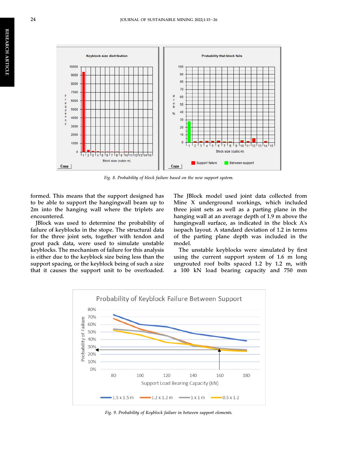

Fig. 8. Probability of block failure based on the new support system.

formed. This means that the support designed has to be able to support the hangingwall beam up to 2m into the hanging wall where the triplets are encountered.

JBlock was used to determine the probability of failure of keyblocks in the stope. The structural data for the three joint sets, together with tendon and grout pack data, were used to simulate unstable keyblocks. The mechanism of failure for this analysis is either due to the keyblock size being less than the support spacing, or the keyblock being of such a size that it causes the support unit to be overloaded.

The JBlock model used joint data collected from Mine X underground workings, which included three joint sets as well as a parting plane in the hanging wall at an average depth of 1.9 m above the hangingwall surface, as indicated in the block A's isopach layout. A standard deviation of 1.2 in terms of the parting plane depth was included in the model.

The unstable keyblocks were simulated by first using the current support system of 1.6 m long ungrouted roof bolts spaced 1.2 by 1.2 m, with a 100 kN load bearing capacity and 750 mm

<span id="page-11-0"></span>

Fig. 9. Probability of Keyblock failure in between support elements.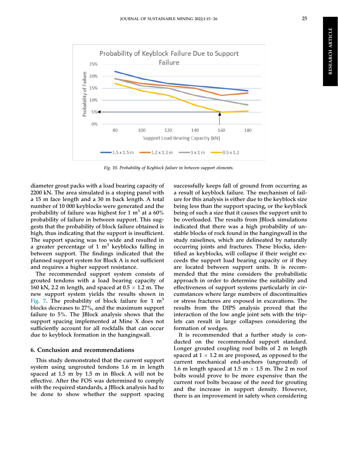

Fig. 10. Probability of Keyblock failure in between support elements.

diameter grout packs with a load bearing capacity of 2200 kN. The area simulated is a stoping panel with a 15 m face length and a 30 m back length. A total number of 10 000 keyblocks were generated and the probability of failure was highest for 1  $m<sup>3</sup>$  at a 60% probability of failure in between support. This suggests that the probability of block failure obtained is high, thus indicating that the support is insufficient. The support spacing was too wide and resulted in a greater percentage of 1  $m<sup>3</sup>$  keyblocks falling in between support. The findings indicated that the planned support system for Block A is not sufficient and requires a higher support resistance.

The recommended support system consists of grouted tendons with a load bearing capacity of 160 kN, 2.2 m length, and spaced at  $0.5 \times 1.2$  m. The new support system yields the results shown in [Fig. 7](#page-10-1). The probability of block failure for 1  $m<sup>3</sup>$ blocks decreases to 27%, and the maximum support failure to 5%. The JBlock analysis shows that the support spacing implemented at Mine X does not sufficiently account for all rockfalls that can occur due to keyblock formation in the hangingwall.

#### 6. Conclusion and recommendations

This study demonstrated that the current support system using ungrouted tendons 1.6 m in length spaced at 1.5 m by 1.5 m in Block A will not be effective. After the FOS was determined to comply with the required standards, a JBlock analysis had to be done to show whether the support spacing

successfully keeps fall of ground from occurring as a result of keyblock failure. The mechanism of failure for this analysis is either due to the keyblock size being less than the support spacing, or the keyblock being of such a size that it causes the support unit to be overloaded. The results from JBlock simulations indicated that there was a high probability of unstable blocks of rock found in the hangingwall in the study raiselines, which are delineated by naturally occurring joints and fractures. These blocks, identified as keyblocks, will collapse if their weight exceeds the support load bearing capacity or if they are located between support units. It is recommended that the mine considers the probabilistic approach in order to determine the suitability and effectiveness of support systems particularly in circumstances where large numbers of discontinuities or stress fractures are exposed in excavations. The results from the DIPS analysis proved that the interaction of the low angle joint sets with the triplets can result in large collapses considering the formation of wedges.

It is recommended that a further study is conducted on the recommended support standard. Longer grouted coupling roof bolts of 2 m length spaced at  $1 \times 1.2$  m are proposed, as opposed to the current mechanical end-anchors (ungrouted) of 1.6 m length spaced at 1.5 m  $\times$  1.5 m. The 2 m roof bolts would prove to be more expensive than the current roof bolts because of the need for grouting and the increase in support density. However, there is an improvement in safety when considering